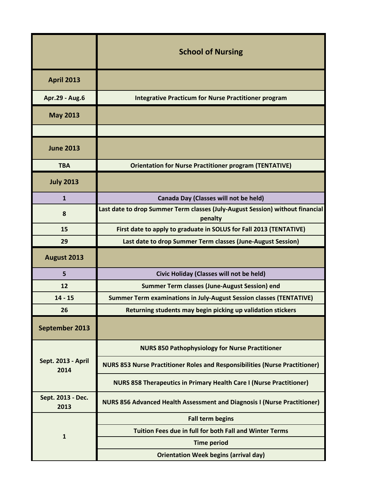|                            | <b>School of Nursing</b>                                                                 |
|----------------------------|------------------------------------------------------------------------------------------|
| <b>April 2013</b>          |                                                                                          |
| Apr.29 - Aug.6             | <b>Integrative Practicum for Nurse Practitioner program</b>                              |
| <b>May 2013</b>            |                                                                                          |
|                            |                                                                                          |
| <b>June 2013</b>           |                                                                                          |
| <b>TBA</b>                 | <b>Orientation for Nurse Practitioner program (TENTATIVE)</b>                            |
| <b>July 2013</b>           |                                                                                          |
| $\mathbf{1}$               | Canada Day (Classes will not be held)                                                    |
| 8                          | Last date to drop Summer Term classes (July-August Session) without financial<br>penalty |
| 15                         | First date to apply to graduate in SOLUS for Fall 2013 (TENTATIVE)                       |
| 29                         | Last date to drop Summer Term classes (June-August Session)                              |
| August 2013                |                                                                                          |
| 5                          | Civic Holiday (Classes will not be held)                                                 |
| 12                         | <b>Summer Term classes (June-August Session) end</b>                                     |
| $14 - 15$                  | Summer Term examinations in July-August Session classes (TENTATIVE)                      |
| 26                         | Returning students may begin picking up validation stickers                              |
| September 2013             |                                                                                          |
|                            | <b>NURS 850 Pathophysiology for Nurse Practitioner</b>                                   |
| Sept. 2013 - April<br>2014 | <b>NURS 853 Nurse Practitioner Roles and Responsibilities (Nurse Practitioner)</b>       |
|                            | <b>NURS 858 Therapeutics in Primary Health Care I (Nurse Practitioner)</b>               |
| Sept. 2013 - Dec.<br>2013  | <b>NURS 856 Advanced Health Assessment and Diagnosis I (Nurse Practitioner)</b>          |
|                            | <b>Fall term begins</b>                                                                  |
| $\mathbf{1}$               | Tuition Fees due in full for both Fall and Winter Terms                                  |
|                            | <b>Time period</b>                                                                       |
|                            | <b>Orientation Week begins (arrival day)</b>                                             |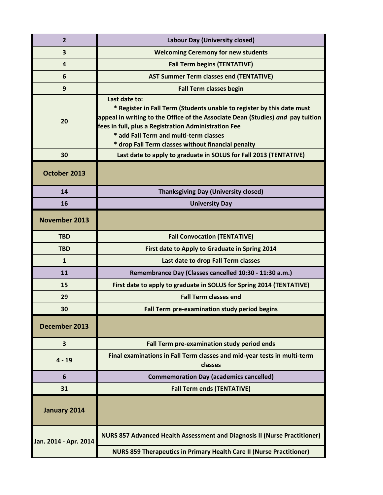| $\overline{2}$        | <b>Labour Day (University closed)</b>                                                                                                                                                                                                                                                                                              |
|-----------------------|------------------------------------------------------------------------------------------------------------------------------------------------------------------------------------------------------------------------------------------------------------------------------------------------------------------------------------|
| 3                     | <b>Welcoming Ceremony for new students</b>                                                                                                                                                                                                                                                                                         |
| $\overline{a}$        | <b>Fall Term begins (TENTATIVE)</b>                                                                                                                                                                                                                                                                                                |
| 6                     | <b>AST Summer Term classes end (TENTATIVE)</b>                                                                                                                                                                                                                                                                                     |
| 9                     | <b>Fall Term classes begin</b>                                                                                                                                                                                                                                                                                                     |
| 20                    | Last date to:<br>* Register in Fall Term (Students unable to register by this date must<br>appeal in writing to the Office of the Associate Dean (Studies) and pay tuition<br>fees in full, plus a Registration Administration Fee<br>* add Fall Term and multi-term classes<br>* drop Fall Term classes without financial penalty |
| 30                    | Last date to apply to graduate in SOLUS for Fall 2013 (TENTATIVE)                                                                                                                                                                                                                                                                  |
| October 2013          |                                                                                                                                                                                                                                                                                                                                    |
| 14                    | <b>Thanksgiving Day (University closed)</b>                                                                                                                                                                                                                                                                                        |
| 16                    | <b>University Day</b>                                                                                                                                                                                                                                                                                                              |
| November 2013         |                                                                                                                                                                                                                                                                                                                                    |
| <b>TBD</b>            | <b>Fall Convocation (TENTATIVE)</b>                                                                                                                                                                                                                                                                                                |
| <b>TBD</b>            | First date to Apply to Graduate in Spring 2014                                                                                                                                                                                                                                                                                     |
| $\mathbf{1}$          | Last date to drop Fall Term classes                                                                                                                                                                                                                                                                                                |
| 11                    | Remembrance Day (Classes cancelled 10:30 - 11:30 a.m.)                                                                                                                                                                                                                                                                             |
| 15                    | First date to apply to graduate in SOLUS for Spring 2014 (TENTATIVE)                                                                                                                                                                                                                                                               |
| 29                    | <b>Fall Term classes end</b>                                                                                                                                                                                                                                                                                                       |
| 30                    | Fall Term pre-examination study period begins                                                                                                                                                                                                                                                                                      |
| December 2013         |                                                                                                                                                                                                                                                                                                                                    |
| 3                     | Fall Term pre-examination study period ends                                                                                                                                                                                                                                                                                        |
| $4 - 19$              | Final examinations in Fall Term classes and mid-year tests in multi-term<br>classes                                                                                                                                                                                                                                                |
| 6                     | <b>Commemoration Day (academics cancelled)</b>                                                                                                                                                                                                                                                                                     |
| 31                    | <b>Fall Term ends (TENTATIVE)</b>                                                                                                                                                                                                                                                                                                  |
| January 2014          |                                                                                                                                                                                                                                                                                                                                    |
| Jan. 2014 - Apr. 2014 | <b>NURS 857 Advanced Health Assessment and Diagnosis II (Nurse Practitioner)</b>                                                                                                                                                                                                                                                   |
|                       | <b>NURS 859 Therapeutics in Primary Health Care II (Nurse Practitioner)</b>                                                                                                                                                                                                                                                        |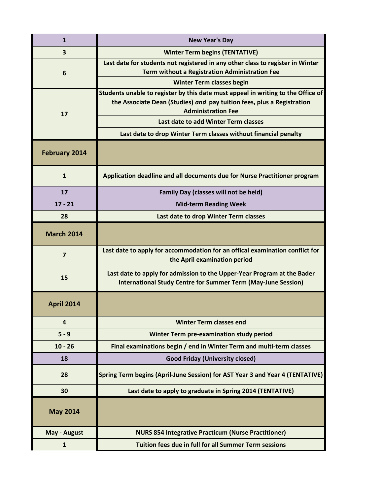| $\mathbf{1}$            | <b>New Year's Day</b>                                                                                                                                                                   |
|-------------------------|-----------------------------------------------------------------------------------------------------------------------------------------------------------------------------------------|
| $\overline{\mathbf{3}}$ | <b>Winter Term begins (TENTATIVE)</b>                                                                                                                                                   |
| 6                       | Last date for students not registered in any other class to register in Winter<br><b>Term without a Registration Administration Fee</b>                                                 |
|                         | <b>Winter Term classes begin</b>                                                                                                                                                        |
| 17                      | Students unable to register by this date must appeal in writing to the Office of<br>the Associate Dean (Studies) and pay tuition fees, plus a Registration<br><b>Administration Fee</b> |
|                         | Last date to add Winter Term classes                                                                                                                                                    |
|                         | Last date to drop Winter Term classes without financial penalty                                                                                                                         |
| <b>February 2014</b>    |                                                                                                                                                                                         |
| $\mathbf{1}$            | Application deadline and all documents due for Nurse Practitioner program                                                                                                               |
| 17                      | <b>Family Day (classes will not be held)</b>                                                                                                                                            |
| $17 - 21$               | <b>Mid-term Reading Week</b>                                                                                                                                                            |
| 28                      | Last date to drop Winter Term classes                                                                                                                                                   |
| <b>March 2014</b>       |                                                                                                                                                                                         |
| $\overline{7}$          | Last date to apply for accommodation for an offical examination conflict for<br>the April examination period                                                                            |
| 15                      | Last date to apply for admission to the Upper-Year Program at the Bader<br><b>International Study Centre for Summer Term (May-June Session)</b>                                         |
| <b>April 2014</b>       |                                                                                                                                                                                         |
| $\overline{a}$          | <b>Winter Term classes end</b>                                                                                                                                                          |
| $5 - 9$                 | Winter Term pre-examination study period                                                                                                                                                |
| $10 - 26$               | Final examinations begin / end in Winter Term and multi-term classes                                                                                                                    |
| 18                      | <b>Good Friday (University closed)</b>                                                                                                                                                  |
| 28                      | Spring Term begins (April-June Session) for AST Year 3 and Year 4 (TENTATIVE)                                                                                                           |
| 30                      | Last date to apply to graduate in Spring 2014 (TENTATIVE)                                                                                                                               |
| <b>May 2014</b>         |                                                                                                                                                                                         |
| May - August            | <b>NURS 854 Integrative Practicum (Nurse Practitioner)</b>                                                                                                                              |
| $\mathbf{1}$            | <b>Tuition fees due in full for all Summer Term sessions</b>                                                                                                                            |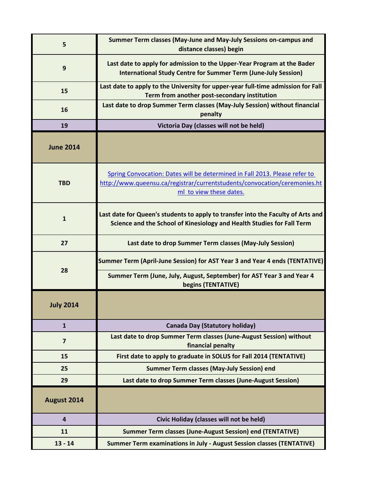| 5                       | Summer Term classes (May-June and May-July Sessions on-campus and<br>distance classes) begin                                                                                       |
|-------------------------|------------------------------------------------------------------------------------------------------------------------------------------------------------------------------------|
| 9                       | Last date to apply for admission to the Upper-Year Program at the Bader<br><b>International Study Centre for Summer Term (June-July Session)</b>                                   |
| 15                      | Last date to apply to the University for upper-year full-time admission for Fall<br>Term from another post-secondary institution                                                   |
| 16                      | Last date to drop Summer Term classes (May-July Session) without financial<br>penalty                                                                                              |
| 19                      | Victoria Day (classes will not be held)                                                                                                                                            |
| <b>June 2014</b>        |                                                                                                                                                                                    |
| <b>TBD</b>              | Spring Convocation: Dates will be determined in Fall 2013. Please refer to<br>http://www.queensu.ca/registrar/currentstudents/convocation/ceremonies.ht<br>ml to view these dates. |
| 1                       | Last date for Queen's students to apply to transfer into the Faculty of Arts and<br>Science and the School of Kinesiology and Health Studies for Fall Term                         |
| 27                      | Last date to drop Summer Term classes (May-July Session)                                                                                                                           |
| 28                      | Summer Term (April-June Session) for AST Year 3 and Year 4 ends (TENTATIVE)                                                                                                        |
|                         | Summer Term (June, July, August, September) for AST Year 3 and Year 4<br>begins (TENTATIVE)                                                                                        |
| <b>July 2014</b>        |                                                                                                                                                                                    |
| $\mathbf{1}$            | Canada Day (Statutory holiday)                                                                                                                                                     |
| $\overline{\mathbf{z}}$ | Last date to drop Summer Term classes (June-August Session) without<br>financial penalty                                                                                           |
| 15                      | First date to apply to graduate in SOLUS for Fall 2014 (TENTATIVE)                                                                                                                 |
| 25                      | <b>Summer Term classes (May-July Session) end</b>                                                                                                                                  |
| 29                      | Last date to drop Summer Term classes (June-August Session)                                                                                                                        |
| August 2014             |                                                                                                                                                                                    |
| $\overline{4}$          | Civic Holiday (classes will not be held)                                                                                                                                           |
| 11                      | <b>Summer Term classes (June-August Session) end (TENTATIVE)</b>                                                                                                                   |
| $13 - 14$               | Summer Term examinations in July - August Session classes (TENTATIVE)                                                                                                              |